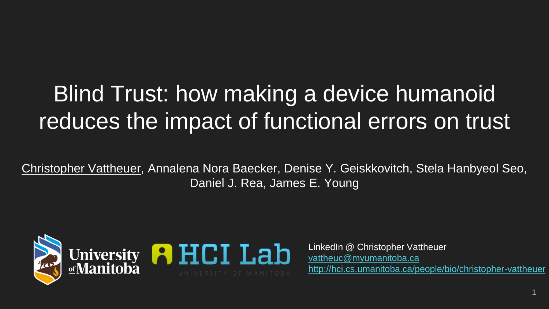# Blind Trust: how making a device humanoid reduces the impact of functional errors on trust

Christopher Vattheuer, Annalena Nora Baecker, Denise Y. Geiskkovitch, Stela Hanbyeol Seo, Daniel J. Rea, James E. Young



LinkedIn @ Christopher Vattheuer [vattheuc@myumanitoba.ca](mailto:vattheuc@myumanitoba.ca) <http://hci.cs.umanitoba.ca/people/bio/christopher-vattheuer>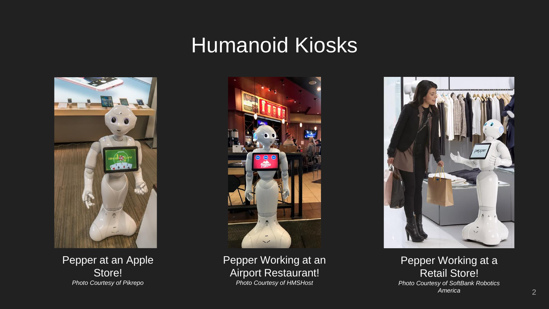#### Humanoid Kiosks



Pepper at an Apple Store! *Photo Courtesy of Pikrepo*



Pepper Working at an Airport Restaurant! *Photo Courtesy of HMSHost*



Pepper Working at a Retail Store! *Photo Courtesy of SoftBank Robotics America*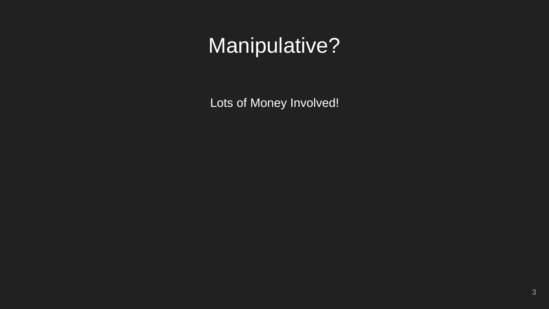Lots of Money Involved!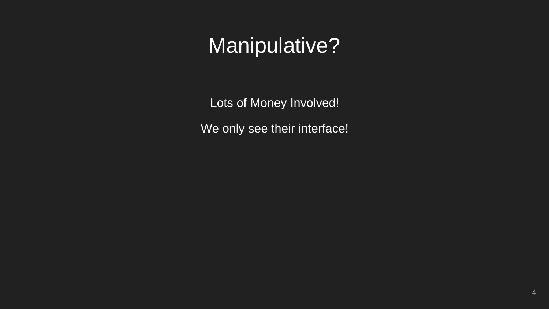Lots of Money Involved!

We only see their interface!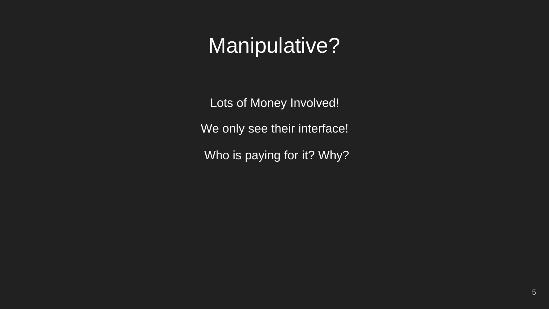Lots of Money Involved!

We only see their interface!

Who is paying for it? Why?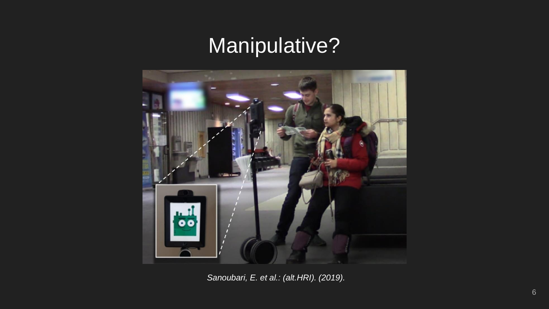

*Sanoubari, E. et al.: (alt.HRI). (2019).*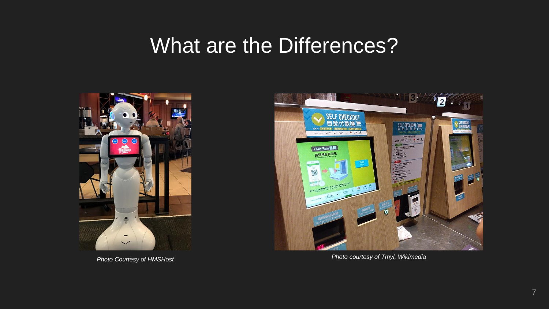#### What are the Differences?





*Photo courtesy of Tmyl, Wikimedia Photo Courtesy of HMSHost*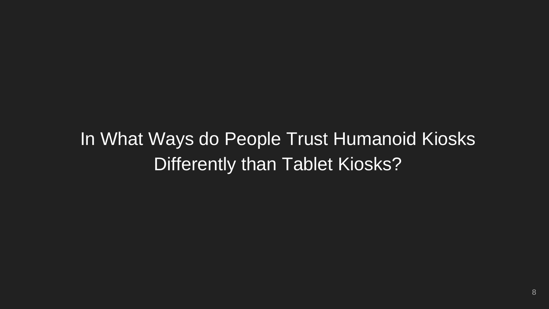#### In What Ways do People Trust Humanoid Kiosks Differently than Tablet Kiosks?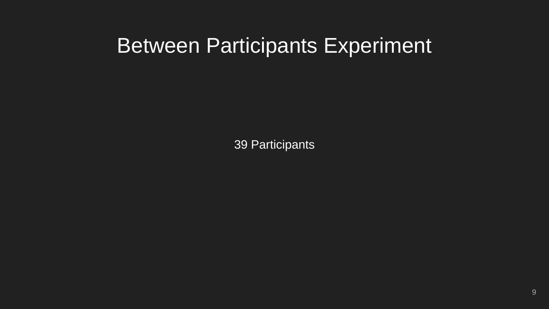#### Between Participants Experiment

39 Participants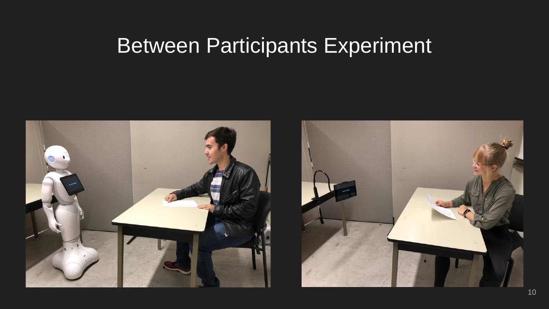### Between Participants Experiment

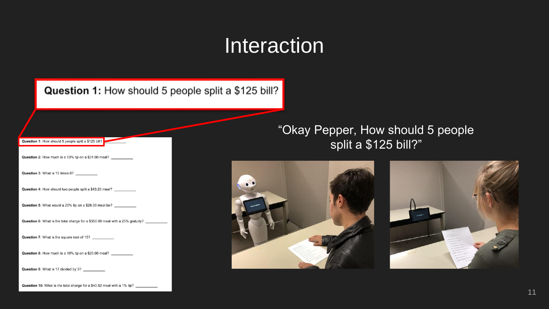#### **Interaction**

| Question 1: How should 5 people split a \$125 bill?                           |
|-------------------------------------------------------------------------------|
| Question 2: How much is a 13% tip on a \$31.00 meal?                          |
| Question 3: What is 15 times 6?                                               |
| Question 4: How should two people split a \$43.20 meal?                       |
| Question 5: What would a 20% tip on a \$28.00 meal be?                        |
| Question 6: What is the total charge for a \$350.00 meal with a 25% gratuity? |
| <b>Question 7:</b> What is the square root of 15?                             |
| Question 8: How much is a 10% tip on a \$20.00 meal?                          |
| Question 9: What is 17 divided by 3? __________                               |
|                                                                               |

"Okay Pepper, How should 5 people split a \$125 bill?"



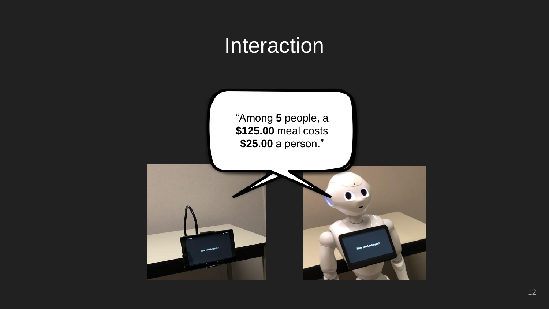#### **Interaction**

"Among **5** people, a **\$125.00** meal costs **\$25.00** a person."

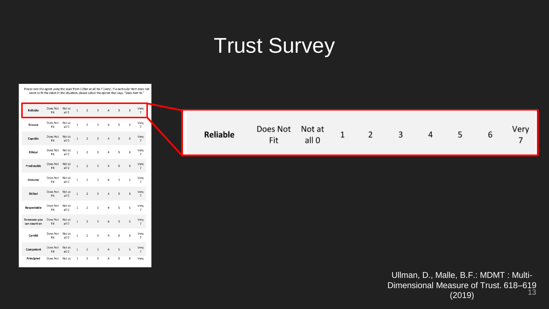# **Trust Survey**



Please rate the agent using the scale from 0 (Not at all) to 7 (Very). If a particular item does not seem to fit the robot in the situation, please select the option that says, "Does Not Fit."

| Reliable                    | Does Not<br>Fit | Not at<br>all 0            | $\mathbf{1}$ | $\overline{2}$ | $\overline{3}$          | $\overline{a}$ | 5 | 6 | Very<br>$\overline{7}$ |
|-----------------------------|-----------------|----------------------------|--------------|----------------|-------------------------|----------------|---|---|------------------------|
| Sincere                     | Does Not<br>Fit | Not at<br>all 0            | $\mathbf{1}$ | $\overline{2}$ | $\overline{\mathbf{3}}$ | $\overline{a}$ | 5 | 6 | Very<br>$\overline{7}$ |
| Capable                     | Does Not<br>Fit | Not at<br>all 0            | $\mathbf{1}$ | $\overline{2}$ | $\overline{3}$          | $\overline{4}$ | 5 | 6 | Very<br>$\overline{7}$ |
| <b>Ethical</b>              | Does Not<br>Fit | Not at<br>all 0            | $\mathbf{1}$ | $\overline{2}$ | $\overline{\mathbf{3}}$ | $\overline{a}$ | 5 | 6 | Very<br>$\overline{7}$ |
| Predictable                 | Does Not<br>Fit | Not at<br>all 0            | $\mathbf{1}$ | $\overline{2}$ | $\overline{\mathbf{3}}$ | $\overline{a}$ | 5 | 6 | Very<br>$\overline{7}$ |
| Genuine                     | Does Not<br>Fit | Not at<br>all 0            | $\mathbf{1}$ | $\overline{2}$ | 3                       | $\overline{4}$ | 5 | 6 | Very<br>$\overline{7}$ |
| Skilled                     | Does Not<br>Fit | Not at<br>all 0            | $\mathbf{1}$ | $\overline{2}$ | $\overline{\mathbf{3}}$ | $\overline{4}$ | 5 | 6 | Very<br>$\overline{7}$ |
| Respectable                 | Does Not<br>Fit | Not at<br>all 0            | $\mathbf{1}$ | $\overline{2}$ | 3                       | $\overline{a}$ | 5 | 6 | Verv<br>$\overline{7}$ |
| Someone you<br>can count on | Does Not<br>Fit | Not at<br>all 0            | $\mathbf{1}$ | $\overline{2}$ | $\overline{3}$          | $\overline{a}$ | 5 | 6 | Very<br>$\overline{7}$ |
| Candid                      | Does Not<br>Fit | Not at<br>all <sub>0</sub> | $\mathbf{1}$ | $\overline{2}$ | 3                       | $\Delta$       | 5 | 6 | Very<br>$\overline{7}$ |
| Competent                   | Does Not<br>Fit | Not at<br>all <sub>0</sub> | $\mathbf{1}$ | $\overline{2}$ | 3                       | $\overline{a}$ | 5 | 6 | Very<br>$\overline{7}$ |
| Principled                  | Does Not Not at |                            | $\mathbf{1}$ | $\overline{2}$ | 3                       | 4              | 5 | 6 | Very                   |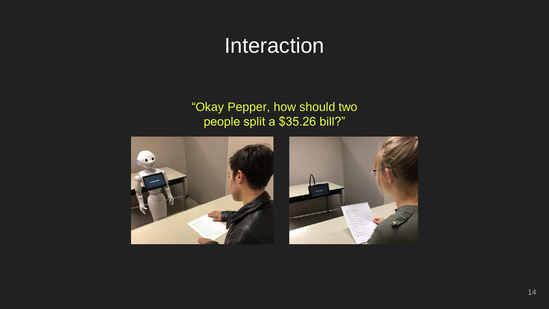#### **Interaction**

#### "Okay Pepper, how should two people split a \$35.26 bill?"

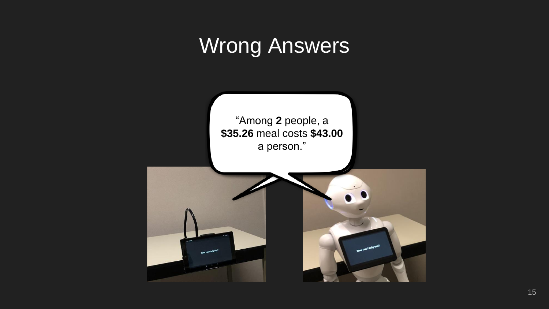## Wrong Answers

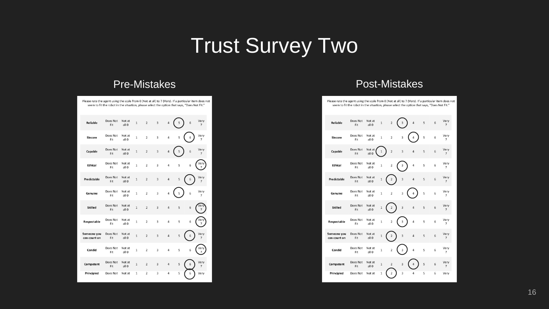# **Trust Survey Two**

| Please rate the agent using the scale from 0 (Not at all) to 7 (Very). If a particular item does not<br>seem to fit the robot in the situation, please select the option that says, "Does Not Fit." |                 |                 |                |                         |                         |                |   |   |                        |
|-----------------------------------------------------------------------------------------------------------------------------------------------------------------------------------------------------|-----------------|-----------------|----------------|-------------------------|-------------------------|----------------|---|---|------------------------|
| Reliable                                                                                                                                                                                            | Does Not<br>Fit | Not at<br>all 0 | $\overline{1}$ | $\overline{2}$          | $\overline{3}$          | 4              | 5 | 6 | Very<br>7              |
| Sincere                                                                                                                                                                                             | Does Not<br>Fit | Not at<br>all 0 | $\overline{1}$ | $\overline{2}$          | 3                       | 4              | 5 | 6 | Very                   |
| Capable                                                                                                                                                                                             | Does Not<br>Fit | Not at<br>all 0 | $\mathbf{1}$   | $\overline{2}$          | $\overline{3}$          | 4              | 5 | 6 | Very<br>$\overline{7}$ |
| <b>Ethical</b>                                                                                                                                                                                      | Does Not<br>Fit | Not at<br>all 0 | 1              | $\overline{2}$          | 3                       | 4              | 5 | 6 | 'er<br>7               |
| Predictable                                                                                                                                                                                         | Does Not<br>Fit | Not at<br>all 0 | $\mathbf{1}$   | $\overline{2}$          | 3                       | 4              | 5 | 6 | Very                   |
| Genuine                                                                                                                                                                                             | Does Not<br>Fit | Not at<br>all 0 | 1              | $\overline{2}$          | 3                       | 4              | 5 | 6 | Very<br>7              |
| Skilled                                                                                                                                                                                             | Does Not<br>Fit | Not at<br>all 0 | $\mathbf{1}$   | $\overline{2}$          | $\overline{\mathbf{3}}$ | 4              | 5 | 6 |                        |
| Respectable                                                                                                                                                                                         | Does Not<br>Fit | Not at<br>all O | 1              | $\overline{2}$          | 3                       | 4              | 5 | 6 |                        |
| Someone you<br>can count on                                                                                                                                                                         | Does Not<br>Fit | Not at<br>all 0 | $\mathbf{1}$   | $\overline{\mathbf{2}}$ | 3                       | 4              | 5 | 6 | Very                   |
| Candid                                                                                                                                                                                              | Does Not<br>Fit | Not at<br>all 0 | 1              | $\overline{2}$          | $\overline{\mathbf{3}}$ | 4              | 5 | 6 | /er                    |
| Competent                                                                                                                                                                                           | Does Not<br>Fit | Not at<br>all 0 | $\mathbf{1}$   | $\overline{2}$          | 3                       | $\overline{a}$ | 5 | 6 | Very<br>$\overline{7}$ |
| Principled                                                                                                                                                                                          | Does Not        | Not at          | 1              | $\overline{2}$          | 3                       | 4              | 5 | 6 | Very                   |

#### Pre-Mistakes **Pre-Mistakes** Pre-Mistakes **Post-Mistakes**

| Please rate the agent using the scale from 0 (Not at all) to 7 (Very). If a particular item does not | seem to fit the robot in the situation, please select the option that says, "Does Not Fit." |                            |              |                         |                         |   |   |   |                        |
|------------------------------------------------------------------------------------------------------|---------------------------------------------------------------------------------------------|----------------------------|--------------|-------------------------|-------------------------|---|---|---|------------------------|
| Reliable                                                                                             | Does Not<br>Fit                                                                             | Not at<br>all <sub>0</sub> | $\,$ 1       | $\overline{\mathbf{c}}$ | 3                       | 4 | 5 | 6 | Very<br>7              |
| Sincere                                                                                              | Does Not<br>Fit                                                                             | Not at<br>all 0            | $\,$ 1       | $\overline{\mathbf{2}}$ | 3                       | 4 | 5 | 6 | Very<br>7              |
| Capable                                                                                              | Does Not<br>Fit                                                                             | Not at<br>all 0            | $\mathbf 1$  | $\overline{2}$          | 3                       | 4 | 5 | 6 | Very<br>7              |
| <b>Ethical</b>                                                                                       | Does Not<br>Fit                                                                             | Not at<br>all 0            | $\mathbf 1$  | $\overline{\mathbf{2}}$ | 3                       | 4 | 5 | 6 | Very<br>7              |
| Predictable                                                                                          | Does Not<br>Fit                                                                             | Not at<br>all 0            | $\,$ 1       | $\overline{\mathbf{2}}$ | $\overline{\mathbf{3}}$ | 4 | 5 | 6 | Very<br>$\overline{7}$ |
| Genuine                                                                                              | Does Not<br>Fit                                                                             | Not at<br>all 0            | $\mathbf 1$  | $\overline{\mathbf{2}}$ | 3                       | 4 | 5 | 6 | Very<br>7              |
| Skilled                                                                                              | Does Not<br>Fit                                                                             | Not at<br>all 0            | $\,$ 1       | 2                       | 3                       | 4 | 5 | 6 | Very<br>$\overline{7}$ |
| Respectable                                                                                          | Does Not<br>Fit                                                                             | Not at<br>all 0            | $\mathbf 1$  | $\overline{\mathbf{2}}$ | 3                       | 4 | 5 | 6 | Very<br>$\overline{7}$ |
| Someone you<br>can count on                                                                          | Does Not<br>Fit                                                                             | Not at<br>all 0            | $\,$ 1       | 2                       | 3                       | 4 | 5 | 6 | Very<br>7              |
| Candid                                                                                               | Does Not<br>Fit                                                                             | Not at<br>all 0            | $\mathbf{1}$ | $\overline{\mathbf{2}}$ | 3                       | 4 | 5 | 6 | Very<br>$\overline{7}$ |
| Competent                                                                                            | Does Not<br>Fit                                                                             | Not at<br>all 0            | $\mathbf{1}$ | $\overline{2}$          | 3                       | 4 | 5 | 6 | Very<br>$\overline{7}$ |
| Principled                                                                                           | Does Not                                                                                    | Not at                     | $\mathbf 1$  | $\overline{\mathbf{2}}$ | 3                       | 4 | 5 | 6 | Very                   |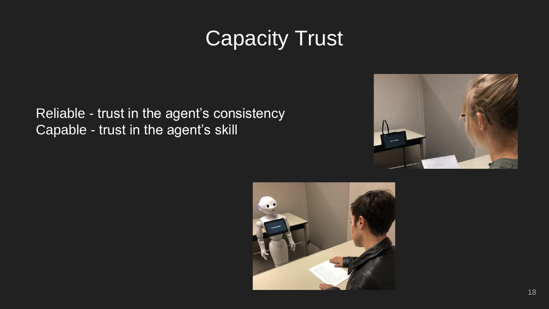# Capacity Trust

Reliable - trust in the agent's consistency Capable - trust in the agent's skill



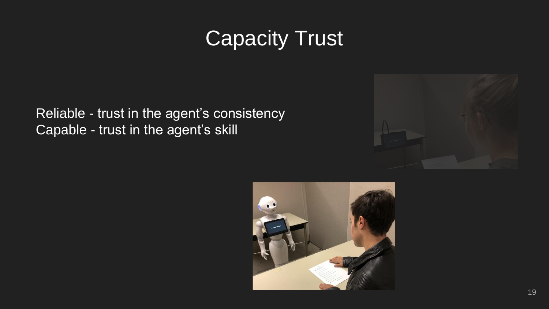# **Capacity Trust**

Reliable - trust in the agent's consistency Capable - trust in the agent's skill



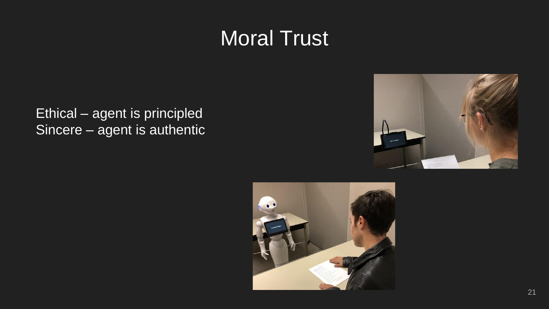## Moral Trust

Ethical – agent is principled Sincere – agent is authentic



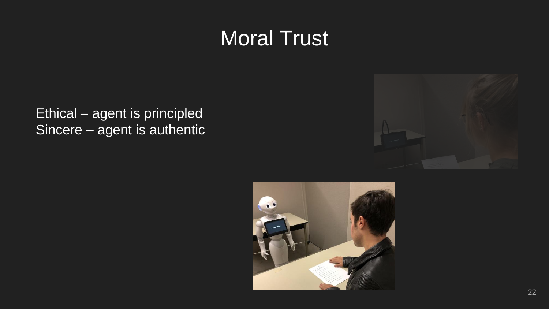## Moral Trust

Ethical – agent is principled Sincere – agent is authentic



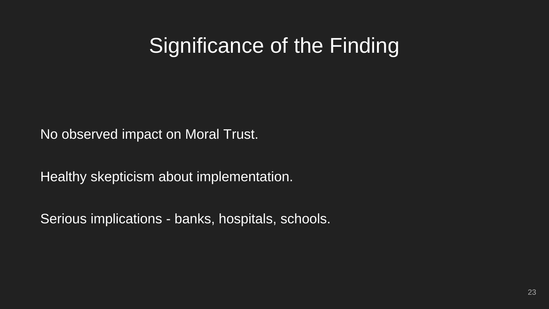#### Significance of the Finding

No observed impact on Moral Trust.

Healthy skepticism about implementation.

Serious implications - banks, hospitals, schools.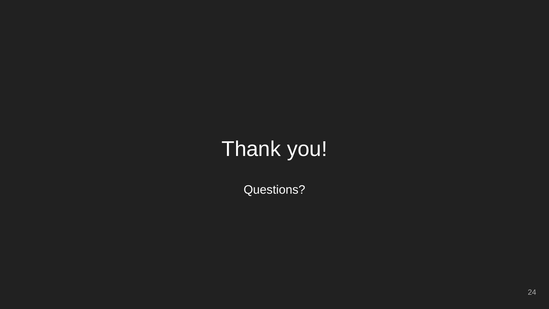# Thank you!

Questions?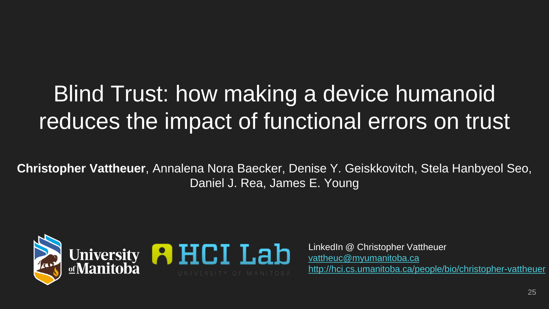# Blind Trust: how making a device humanoid reduces the impact of functional errors on trust

**Christopher Vattheuer**, Annalena Nora Baecker, Denise Y. Geiskkovitch, Stela Hanbyeol Seo, Daniel J. Rea, James E. Young



LinkedIn @ Christopher Vattheuer [vattheuc@myumanitoba.ca](mailto:vattheuc@myumanitoba.ca) <http://hci.cs.umanitoba.ca/people/bio/christopher-vattheuer>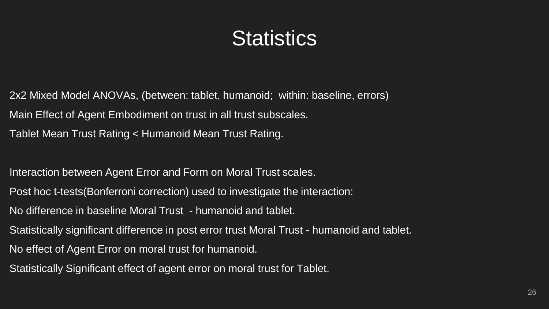### **Statistics**

2x2 Mixed Model ANOVAs, (between: tablet, humanoid; within: baseline, errors) Main Effect of Agent Embodiment on trust in all trust subscales. Tablet Mean Trust Rating < Humanoid Mean Trust Rating.

Interaction between Agent Error and Form on Moral Trust scales.

Post hoc t-tests(Bonferroni correction) used to investigate the interaction:

No difference in baseline Moral Trust - humanoid and tablet.

Statistically significant difference in post error trust Moral Trust - humanoid and tablet.

No effect of Agent Error on moral trust for humanoid.

Statistically Significant effect of agent error on moral trust for Tablet.